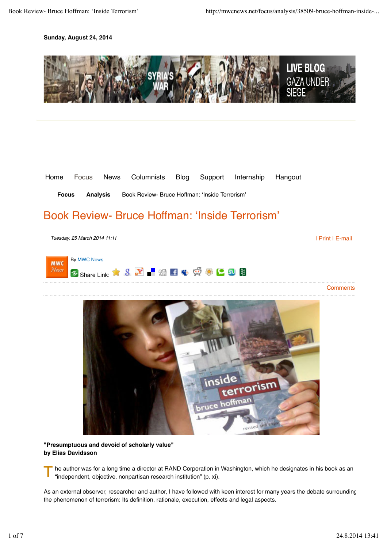### **Sunday, August 24, 2014**





**Focus Analysis** Book Review- Bruce Hoffman: 'Inside Terrorism'

# Book Review- Bruce Hoffman: 'Inside Terrorism'

*Tuesday, 25 March 2014 11:11*

| Print | E-mail



**Comments** 



**"Presumptuous and devoid of scholarly value" by Elias Davidsson**

T he author was for a long time a director at RAND Corporation in Washington, which he designates in his book as an "independent, objective, nonpartisan research institution" (p. xi).

As an external observer, researcher and author, I have followed with keen interest for many years the debate surrounding the phenomenon of terrorism: Its definition, rationale, execution, effects and legal aspects.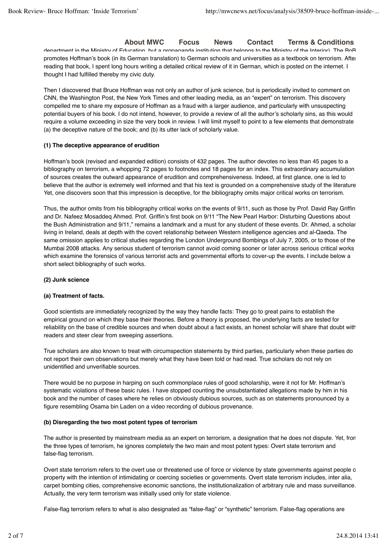# **About MWC Focus News Contact Terms & Conditions**

department in the Ministry of Education, but a propaganda institution that belongs to the Ministry of the Interior). The BpB promotes Hoffman's book (in its German translation) to German schools and universities as a textbook on terrorism. After reading that book, I spent long hours writing a detailed critical review of it in German, which is posted on the internet. I thought I had fulfilled thereby my civic duty.

Then I discovered that Bruce Hoffman was not only an author of junk science, but is periodically invited to comment on CNN, the Washington Post, the New York Times and other leading media, as an "expert" on terrorism. This discovery compelled me to share my exposure of Hoffman as a fraud with a larger audience, and particularly with unsuspecting potential buyers of his book. I do not intend, however, to provide a review of all the author's scholarly sins, as this would require a volume exceeding in size the very book in review. I will limit myself to point to a few elements that demonstrate (a) the deceptive nature of the book; and (b) its utter lack of scholarly value.

#### **(1) The deceptive appearance of erudition**

Hoffman's book (revised and expanded edition) consists of 432 pages. The author devotes no less than 45 pages to a bibliography on terrorism, a whopping 72 pages to footnotes and 18 pages for an index. This extraordinary accumulation of sources creates the outward appearance of erudition and comprehensiveness. Indeed, at first glance, one is led to believe that the author is extremely well informed and that his text is grounded on a comprehensive study of the literature Yet, one discovers soon that this impression is deceptive, for the bibliography omits major critical works on terrorism.

Thus, the author omits from his bibliography critical works on the events of 9/11, such as those by Prof. David Ray Griffin and Dr. Nafeez Mosaddeq Ahmed. Prof. Griffin's first book on 9/11 "The New Pearl Harbor: Disturbing Questions about the Bush Administration and 9/11," remains a landmark and a must for any student of these events. Dr. Ahmed, a scholar living in Ireland, deals at depth with the covert relationship between Western intelligence agencies and al-Qaeda. The same omission applies to critical studies regarding the London Underground Bombings of July 7, 2005, or to those of the Mumbai 2008 attacks. Any serious student of terrorism cannot avoid coming sooner or later across serious critical works which examine the forensics of various terrorist acts and governmental efforts to cover-up the events. I include below a short select bibliography of such works.

#### **(2) Junk science**

#### **(a) Treatment of facts.**

Good scientists are immediately recognized by the way they handle facts: They go to great pains to establish the empirical ground on which they base their theories. Before a theory is proposed, the underlying facts are tested for reliability on the base of credible sources and when doubt about a fact exists, an honest scholar will share that doubt with readers and steer clear from sweeping assertions.

True scholars are also known to treat with circumspection statements by third parties, particularly when these parties do not report their own observations but merely what they have been told or had read. True scholars do not rely on unidentified and unverifiable sources.

There would be no purpose in harping on such commonplace rules of good scholarship, were it not for Mr. Hoffman's systematic violations of these basic rules. I have stopped counting the unsubstantiated allegations made by him in his book and the number of cases where he relies on obviously dubious sources, such as on statements pronounced by a figure resembling Osama bin Laden on a video recording of dubious provenance.

#### **(b) Disregarding the two most potent types of terrorism**

The author is presented by mainstream media as an expert on terrorism, a designation that he does not dispute. Yet, from the three types of terrorism, he ignores completely the two main and most potent types: Overt state terrorism and false-flag terrorism.

Overt state terrorism refers to the overt use or threatened use of force or violence by state governments against people o property with the intention of intimidating or coercing societies or governments. Overt state terrorism includes, inter alia, carpet bombing cities, comprehensive economic sanctions, the institutionalization of arbitrary rule and mass surveillance. Actually, the very term terrorism was initially used only for state violence.

False-flag terrorism refers to what is also designated as "false-flag" or "synthetic" terrorism. False-flag operations are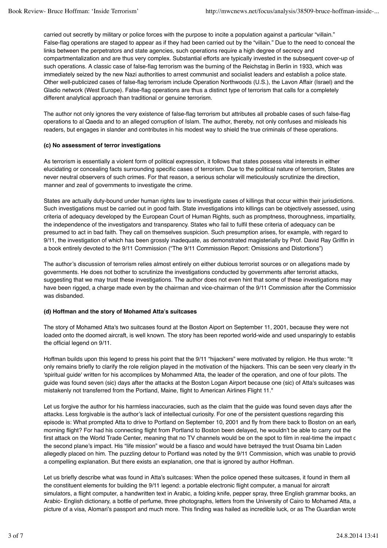carried out secretly by military or police forces with the purpose to incite a population against a particular "villain." False-flag operations are staged to appear as if they had been carried out by the "villain." Due to the need to conceal the links between the perpetrators and state agencies, such operations require a high degree of secrecy and compartmentalization and are thus very complex. Substantial efforts are typically invested in the subsequent cover-up of such operations. A classic case of false-flag terrorism was the burning of the Reichstag in Berlin in 1933, which was immediately seized by the new Nazi authorities to arrest communist and socialist leaders and establish a police state. Other well-publicized cases of false-flag terrorism include Operation Northwoods (U.S.), the Lavon Affair (Israel) and the Gladio network (West Europe). False-flag operations are thus a distinct type of terrorism that calls for a completely different analytical approach than traditional or genuine terrorism.

The author not only ignores the very existence of false-flag terrorism but attributes all probable cases of such false-flag operations to al Qaeda and to an alleged corruption of Islam. The author, thereby, not only confuses and misleads his readers, but engages in slander and contributes in his modest way to shield the true criminals of these operations.

### **(c) No assessment of terror investigations**

As terrorism is essentially a violent form of political expression, it follows that states possess vital interests in either elucidating or concealing facts surrounding specific cases of terrorism. Due to the political nature of terrorism, States are never neutral observers of such crimes. For that reason, a serious scholar will meticulously scrutinize the direction, manner and zeal of governments to investigate the crime.

States are actually duty-bound under human rights law to investigate cases of killings that occur within their jurisdictions. Such investigations must be carried out in good faith. State investigations into killings can be objectively assessed, using criteria of adequacy developed by the European Court of Human Rights, such as promptness, thoroughness, impartiality, the independence of the investigators and transparency. States who fail to fulfil these criteria of adequacy can be presumed to act in bad faith. They call on themselves suspicion. Such presumption arises, for example, with regard to 9/11, the investigation of which has been grossly inadequate, as demonstrated magisterially by Prof. David Ray Griffin in a book entirely devoted to the 9/11 Commission ("The 9/11 Commission Report: Omissions and Distortions")

The author's discussion of terrorism relies almost entirely on either dubious terrorist sources or on allegations made by governments. He does not bother to scrutinize the investigations conducted by governments after terrorist attacks, suggesting that we may trust these investigations. The author does not even hint that some of these investigations may have been rigged, a charge made even by the chairman and vice-chairman of the 9/11 Commission after the Commission was disbanded.

# **(d) Hoffman and the story of Mohamed Atta's suitcases**

The story of Mohamed Atta's two suitcases found at the Boston Aiport on September 11, 2001, because they were not loaded onto the doomed aircraft, is well known. The story has been reported world-wide and used unsparingly to establis the official legend on 9/11.

Hoffman builds upon this legend to press his point that the 9/11 "hijackers" were motivated by religion. He thus wrote: "It only remains briefly to clarify the role religion played in the motivation of the hijackers. This can be seen very clearly in the 'spiritual guide' written for his accomplices by Mohammed Atta, the leader of the operation, and one of four pilots. The guide was found seven (sic) days after the attacks at the Boston Logan Airport because one (sic) of Atta's suitcases was mistakenly not transferred from the Portland, Maine, flight to American Airlines Flight 11."

Let us forgive the author for his harmless inaccuracies, such as the claim that the guide was found seven days after the attacks. Less forgivable is the author's lack of intellectual curiosity. For one of the persistent questions regarding this episode is: What prompted Atta to drive to Portland on September 10, 2001 and fly from there back to Boston on an earlymorning flight? For had his connecting flight from Portland to Boston been delayed, he wouldn't be able to carry out the first attack on the World Trade Center, meaning that no TV channels would be on the spot to film in real-time the impact c the second plane's impact. His "life mission" would be a fiasco and would have betrayed the trust Osama bin Laden allegedly placed on him. The puzzling detour to Portland was noted by the 9/11 Commission, which was unable to provide a compelling explanation. But there exists an explanation, one that is ignored by author Hoffman.

Let us briefly describe what was found in Atta's suitcases: When the police opened these suitcases, it found in them all the constituent elements for building the 9/11 legend: a portable electronic flight computer, a manual for aircraft simulators, a flight computer, a handwritten text in Arabic, a folding knife, pepper spray, three English grammar books, an Arabic- English dictionary, a bottle of perfume, three photographs, letters from the University of Cairo to Mohamed Atta, a picture of a visa, Alomari's passport and much more. This finding was hailed as incredible luck, or as The Guardian wrote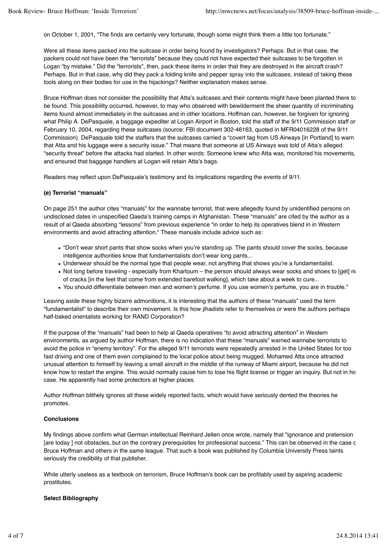on October 1, 2001, "The finds are certainly very fortunate, though some might think them a little too fortunate."

Were all these items packed into the suitcase in order being found by investigators? Perhaps. But in that case, the packers could not have been the "terrorists" because they could not have expected their suitcases to be forgotten in Logan "by mistake." Did the "terrorists", then, pack these items in order that they are destroyed in the aircraft crash? Perhaps. But in that case, why did they pack a folding knife and pepper spray into the suitcases, instead of taking these tools along on their bodies for use in the hijackings? Neither explanation makes sense.

Bruce Hoffman does not consider the possibility that Atta's suitcases and their contents might have been planted there to be found. This possibility occurred, however, to may who observed with bewilderment the sheer quantity of incriminating items found almost immediately in the suitcases and in other locations. Hoffman can, however, be forgiven for ignoring what Philip A. DePasquale, a baggage expediter at Logan Airport in Boston, told the staff of the 9/11 Commission staff on February 10, 2004, regarding these suitcases (source: FBI document 302-46163, quoted in MFR04016228 of the 9/11 Commission). DePasquale told the staffers that the suitcases carried a "covert tag from US Airways [in Portland] to warn that Atta and his luggage were a security issue." That means that someone at US Airways was told of Atta's alleged "security threat" before the attacks had started. In other words: Someone knew who Atta was, monitored his movements, and ensured that baggage handlers at Logan will retain Atta's bags.

Readers may reflect upon DePasquale's testimony and its implications regarding the events of 9/11.

#### **(e) Terrorist "manuals"**

On page 251 the author cites "manuals" for the wannabe terrorist, that were allegedly found by unidentified persons on undisclosed dates in unspecified Qaeda's training camps in Afghanistan. These "manuals" are cited by the author as a result of al Qaeda absorbing "lessons" from previous experience "in order to help its operatives blend in in Western environments and avoid attracting attention." These manuals include advice such as:

- "Don't wear short pants that show socks when you're standing up. The pants should cover the socks, because intelligence authorities know that fundamentalists don't wear long pants...
- Underwear should be the normal type that people wear, not anything that shows you're a fundamentalist.
- Not long before traveling especially from Khartoum the person should always wear socks and shoes to [get] riderly of cracks [in the feet that come from extended barefoot walking], which take about a week to cure...
- You should differentiate between men and women's perfume. If you use women's perfume, you are in trouble."

Leaving aside these highly bizarre admonitions, it is interesting that the authors of these "manuals" used the term "fundamentalist" to describe their own movement. Is this how jihadists refer to themselves or were the authors perhaps half-baked orientalists working for RAND Corporation?

If the purpose of the "manuals" had been to help al Qaeda operatives "to avoid attracting attention" in Western environments, as argued by author Hoffman, there is no indication that these "manuals" warned wannabe terrorists to avoid the police in "enemy territory". For the alleged 9/11 terrorists were repeatedly arrested in the United States for too fast driving and one of them even complained to the local police about being mugged. Mohamed Atta once attracted unusual attention to himself by leaving a small aircraft in the middle of the runway of Miami airport, because he did not know how to restart the engine. This would normally cause him to lose his flight license or trigger an inquiry. But not in his case. He apparently had some protectors at higher places.

Author Hoffman blithely ignores all these widely reported facts, which would have seriously dented the theories he promotes.

#### **Conclusions**

My findings above confirm what German intellectual Reinhard Jellen once wrote, namely that "ignorance and pretension [are today ] not obstacles, but on the contrary prerequisites for professional success." This can be observed in the case c Bruce Hoffman and others in the same league. That such a book was published by Columbia University Press taints seriously the credibility of that publisher.

While utterly useless as a textbook on terrorism, Bruce Hoffman's book can be profitably used by aspiring academic prostitutes.

#### **Select Bibliography**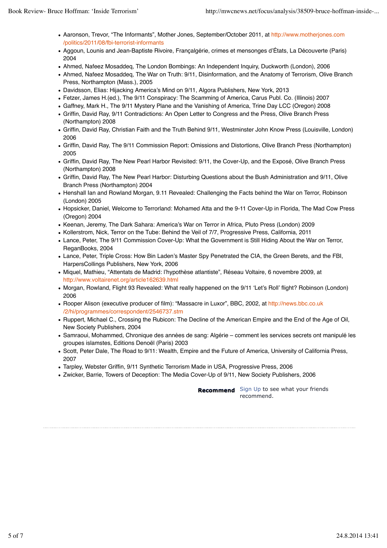- Aaronson, Trevor, "The Informants", Mother Jones, September/October 2011, at http://www.motherjones.com /politics/2011/08/fbi-terrorist-informants
- Aggoun, Lounis and Jean-Baptiste Rivoire, Françalgérie, crimes et mensonges d'États, La Découverte (Paris) 2004
- Ahmed, Nafeez Mosaddeq, The London Bombings: An Independent Inquiry, Duckworth (London), 2006
- Ahmed, Nafeez Mosaddeq, The War on Truth: 9/11, Disinformation, and the Anatomy of Terrorism, Olive Branch Press, Northampton (Mass.), 2005
- Davidsson, Elias: Hijacking America's Mind on 9/11, Algora Publishers, New York, 2013
- Fetzer, James H.(ed.), The 9/11 Conspiracy: The Scamming of America, Carus Publ. Co. (Illinois) 2007
- Gaffney, Mark H., The 9/11 Mystery Plane and the Vanishing of America, Trine Day LCC (Oregon) 2008
- Griffin, David Ray, 9/11 Contradictions: An Open Letter to Congress and the Press, Olive Branch Press (Northampton) 2008
- Griffin, David Ray, Christian Faith and the Truth Behind 9/11, Westminster John Know Press (Louisville, London) 2006
- Griffin, David Ray, The 9/11 Commission Report: Omissions and Distortions, Olive Branch Press (Northampton) 2005
- Griffin, David Ray, The New Pearl Harbor Revisited: 9/11, the Cover-Up, and the Exposé, Olive Branch Press (Northampton) 2008
- Griffin, David Ray, The New Pearl Harbor: Disturbing Questions about the Bush Administration and 9/11, Olive Branch Press (Northampton) 2004
- Henshall Ian and Rowland Morgan, 9.11 Revealed: Challenging the Facts behind the War on Terror, Robinson (London) 2005
- Hopsicker, Daniel, Welcome to Terrorland: Mohamed Atta and the 9-11 Cover-Up in Florida, The Mad Cow Press (Oregon) 2004
- Keenan, Jeremy, The Dark Sahara: America's War on Terror in Africa, Pluto Press (London) 2009
- Kollerstrom, Nick, Terror on the Tube: Behind the Veil of 7/7, Progressive Press, California, 2011
- Lance, Peter, The 9/11 Commission Cover-Up: What the Government is Still Hiding About the War on Terror, ReganBooks, 2004
- Lance, Peter, Triple Cross: How Bin Laden's Master Spy Penetrated the CIA, the Green Berets, and the FBI, HarpersCollings Publishers, New York, 2006
- Miquel, Mathieu, "Attentats de Madrid: l'hypothèse atlantiste", Réseau Voltaire, 6 novembre 2009, at http://www.voltairenet.org/article162639.html
- Morgan, Rowland, Flight 93 Revealed: What really happened on the 9/11 'Let's Roll' flight? Robinson (London) 2006
- Rooper Alison (executive producer of film): "Massacre in Luxor", BBC, 2002, at http://news.bbc.co.uk /2/hi/programmes/correspondent/2546737.stm
- Ruppert, Michael C., Crossing the Rubicon: The Decline of the American Empire and the End of the Age of Oil, New Society Publishers, 2004
- Samraoui, Mohammed, Chronique des années de sang: Algérie comment les services secrets ont manipulé les groupes islamstes, Editions Denoël (Paris) 2003
- Scott, Peter Dale, The Road to 9/11: Wealth, Empire and the Future of America, University of California Press, 2007
- Tarpley, Webster Griffin, 9/11 Synthetic Terrorism Made in USA, Progressive Press, 2006
- Zwicker, Barrie, Towers of Deception: The Media Cover-Up of 9/11, New Society Publishers, 2006

**Recommend** Sign Up to see what your friends recommend.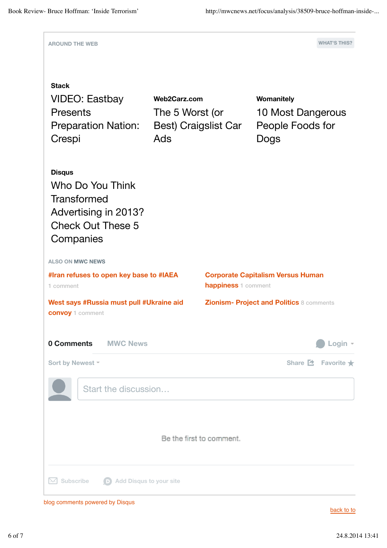

blog comments powered by Disqus

back to to